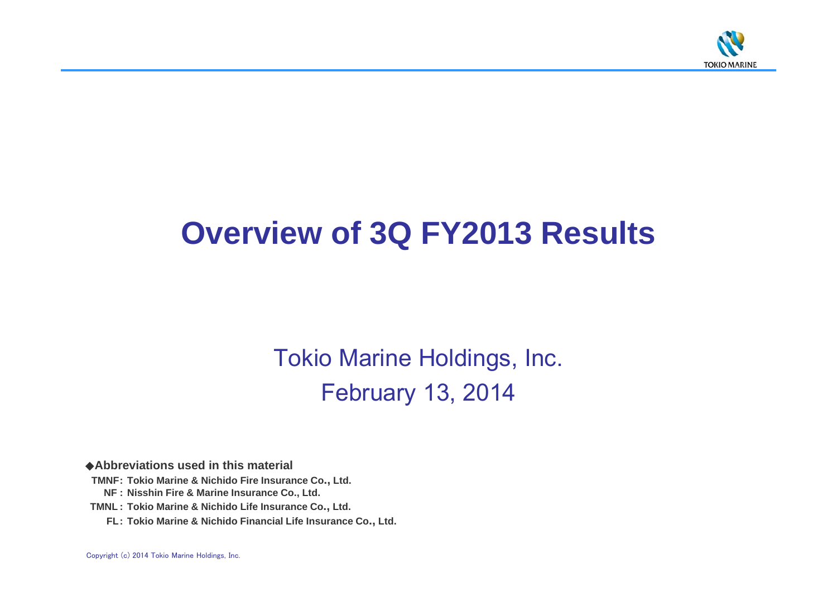

# **Overview of 3Q FY2013 Results**

Tokio Marine Holdings, Inc. February 13, 2014

◆**Abbreviations used in this material**

- **TMNF: Tokio Marine & Nichido Fire Insurance Co., Ltd.**
	- **NF : Nisshin Fire & Marine Insurance Co., Ltd.**
- **TMNL : Tokio Marine & Nichido Life Insurance Co., Ltd.**
	- **FL: Tokio Marine & Nichido Financial Life Insurance Co., Ltd.**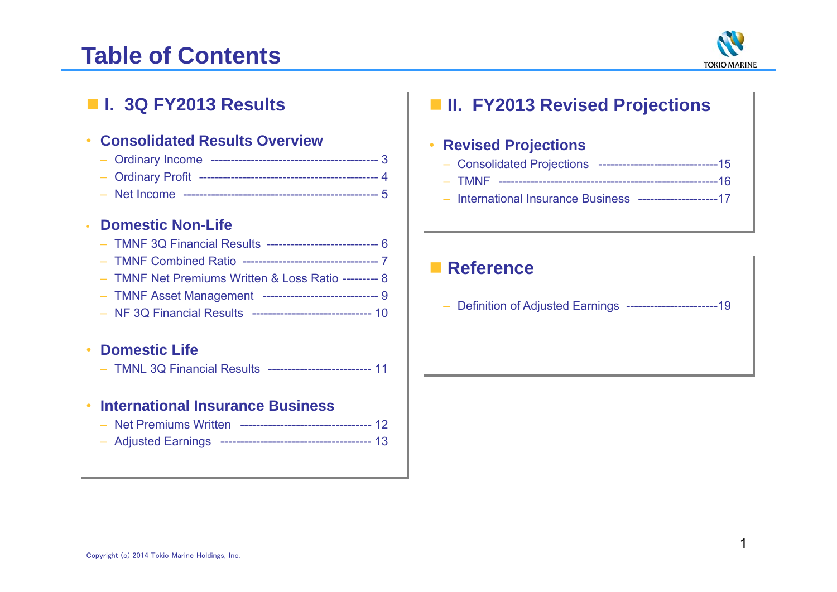# **Table of Contents**



## **I. 3Q FY2013 Results**

#### •**Consolidated Results Overview**

- Ordinary Income ------------------------------------------ 3
- Ordinary Profit --------------------------------------------- 4
- Net Income ------------------------------------------------- 5

#### •**Domestic Non-Life**

|  |  |  | - TMNF 3Q Financial Results ----------------------------- 6 |  |
|--|--|--|-------------------------------------------------------------|--|
|  |  |  |                                                             |  |

- TMNF Combined Ratio ---------------------------------- 7
- TMNF Net Premiums Written & Loss Ratio --------- 8
- TMNF Asset Management ----------------------------- 9
- NF 3Q Financial Results ------------------------------ 10

#### •**Domestic Life**

– TMNL 3Q Financial Results -------------------------- 11

#### •**International Insurance Business**

- Net Premiums Written --------------------------------- 12
- Adjusted Earnings -------------------------------------- 13

## **II. FY2013 Revised Projections**

#### •**Revised Projections**

- Consolidated Projections ------------------------------15
- TMNF -------------------------------------------------------16
- International Insurance Business --------------------17

### **■ Reference**

Definition of Adjusted Earnings -----------------------19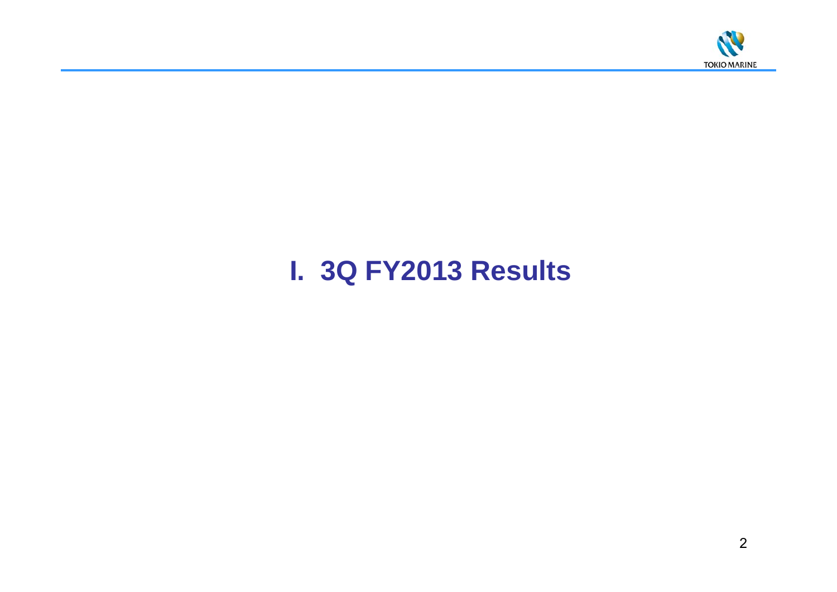

# **I. 3Q FY2013 Results**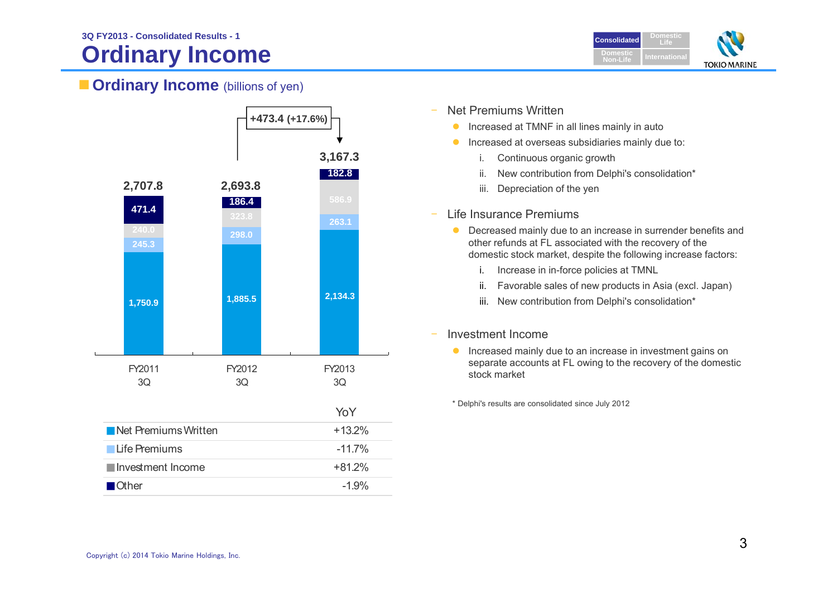# **Ordinary Income**



### **Ordinary Income** (billions of yen)



- Net Premiums Written
	- $\bullet$ Increased at TMNF in all lines mainly in auto
	- $\bullet$  Increased at overseas subsidiaries mainly due to:
		- i. Continuous organic growth
		- ii. New contribution from Delphi's consolidation\*
		- iii. Depreciation of the yen
- $\overline{\phantom{a}}$  Life Insurance Premiums
	- $\bullet$  Decreased mainly due to an increase in surrender benefits and other refunds at FL associated with the recovery of the domestic stock market, despite the following increase factors:
		- i. Increase in in-force policies at TMNL
		- ii.Favorable sales of new products in Asia (excl. Japan)
		- iii. New contribution from Delphi's consolidation\*

#### Investment Income

 $\bullet$  Increased mainly due to an increase in investment gains on separate accounts at FL owing to the recovery of the domestic stock market

\* Delphi's results are consolidated since July 2012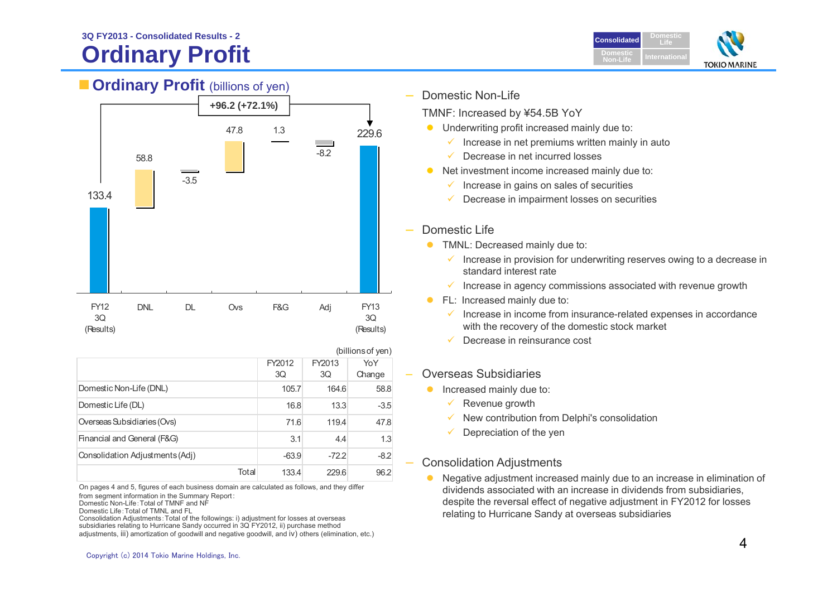### **Ordinary Profit 3Q FY2013 - Consolidated Results - 2**

**Cordinary Profit** (billions of yen)



#### FY123Q(Results) DNL DL Ovs F&G Adj FY13 3Q(Results) 133.458.8-3.547.8 1.3-8.2229.6**+96.2 (+72.1%)** TMNF: Increased by ¥54.5B YoY ✓ Decrease in net incurred losses  $\checkmark$  Domestic Life **TMNL: Decreased mainly due to:** standard interest rate**FL: Increased mainly due to:**

|                                 |              |              | (billions of yen) |
|---------------------------------|--------------|--------------|-------------------|
|                                 | FY2012<br>3Q | FY2013<br>3Q | YoY<br>Change     |
| Domestic Non-Life (DNL)         | 105.7        | 164.6        | 58.8              |
| Domestic Life (DL)              | 16.8         | 13.3         | $-3.5$            |
| Overseas Subsidiaries (Ovs)     | 71.6         | 119.4        | 47.8              |
| Financial and General (F&G)     | 3.1          | 4.4          | 1.3               |
| Consolidation Adjustments (Adj) | $-63.9$      | $-72.2$      | $-8.2$            |
| Total                           | 133.4        | 229.6        | 96.2              |

On pages 4 and 5, figures of each business domain are calculated as follows, and they differ from segment information in the Summary Report:

Domestic Non-Life:Total of TMNF and NF

Domestic Life:Total of TMNL and FL

Consolidation Adjustments:Total of the followings: i) adjustment for losses at overseas

subsidiaries relating to Hurricane Sandy occurred in 3Q FY2012, ii) purchase method

adjustments, iii) amortization of goodwill and negative goodwill, and iv) others (elimination, etc.)

- Domestic Non-Life
	- **•** Underwriting profit increased mainly due to:
		- $\checkmark$  Increase in net premiums written mainly in auto
	- Net investment income increased mainly due to:
		- $\checkmark$  Increase in gains on sales of securities
		- Decrease in impairment losses on securities
		- $\checkmark$  Increase in provision for underwriting reserves owing to a decrease in
		- $\checkmark$  Increase in agency commissions associated with revenue growth
		- $\checkmark$  Increase in income from insurance-related expenses in accordance with the recovery of the domestic stock market
		- ✓ Decrease in reinsurance cost
- Overseas Subsidiaries
	- $\bullet$  Increased mainly due to:
		- $\checkmark$  Revenue growth
		- $\checkmark$  New contribution from Delphi's consolidation
		- $\checkmark$ Depreciation of the yen

#### Consolidation Adjustments

 $\bullet$  Negative adjustment increased mainly due to an increase in elimination of dividends associated with an increase in dividends from subsidiaries, despite the reversal effect of negative adjustment in FY2012 for losses relating to Hurricane Sandy at overseas subsidiaries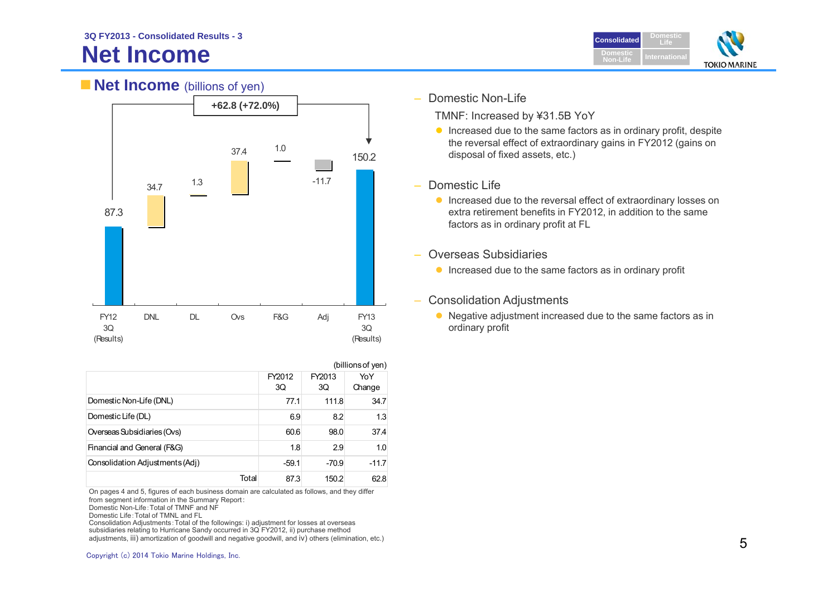## **Net Income**



### **Net Income** (billions of yen)



|                                 |       | (billions of yen)       |         |         |
|---------------------------------|-------|-------------------------|---------|---------|
|                                 |       | FY2012<br>FY2013<br>YoY |         |         |
|                                 |       | 3Q                      | 3Q      | Change  |
| Domestic Non-Life (DNL)         |       | 77.1                    | 111.8   | 34.7    |
| Domestic Life (DL)              |       | 6.9                     | 8.2     | 1.3     |
| Overseas Subsidiaries (Ovs)     |       | 60.6                    | 98.0    | 37.4    |
| Financial and General (F&G)     |       | 1.8                     | 2.9     | 1.0     |
| Consolidation Adjustments (Adj) |       | $-59.1$                 | $-70.9$ | $-11.7$ |
|                                 | Total | 87.3                    | 150.2   | 62.8    |

On pages 4 and 5, figures of each business domain are calculated as follows, and they differ from segment information in the Summary Report:

Domestic Non-Life:Total of TMNF and NF

Domestic Life:Total of TMNL and FL

Consolidation Adjustments:Total of the followings: i) adjustment for losses at overseas subsidiaries relating to Hurricane Sandy occurred in 3Q FY2012, ii) purchase method adjustments, iii) amortization of goodwill and negative goodwill, and iv) others (elimination, etc.) Domestic Non-Life

TMNF: Increased by ¥31.5B YoY

- $\bullet$  Increased due to the same factors as in ordinary profit, despite the reversal effect of extraordinary gains in FY2012 (gains on disposal of fixed assets, etc.)
- – Domestic Life
	- **Increased due to the reversal effect of extraordinary losses on** extra retirement benefits in FY2012, in addition to the same factors as in ordinary profit at FL
- Overseas Subsidiaries
	- **Increased due to the same factors as in ordinary profit**
- Consolidation Adjustments
	- Negative adjustment increased due to the same factors as in ordinary profit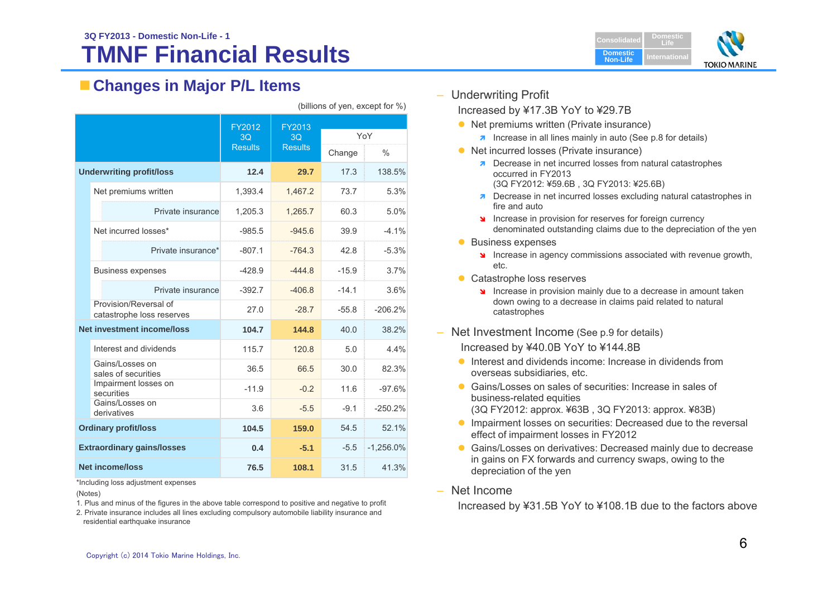#### **TMNF Financial Results3Q FY2013 - Domestic Non-Life - 1Consolidated Consolidated**



### **Changes in Major P/L Items**

|  |                                                    | FY2012         | FY2013         |         |               |  |
|--|----------------------------------------------------|----------------|----------------|---------|---------------|--|
|  |                                                    | 3 <sub>O</sub> | 3 <sub>O</sub> |         | YoY           |  |
|  |                                                    | <b>Results</b> | <b>Results</b> | Change  | $\frac{0}{0}$ |  |
|  | <b>Underwriting profit/loss</b>                    | 12.4           | 29.7           | 17.3    | 138.5%        |  |
|  | Net premiums written                               | 1,393.4        | 1.467.2        | 73.7    | 5.3%          |  |
|  | Private insurance                                  | 1,205.3        | 1,265.7        | 60.3    | 5.0%          |  |
|  | Net incurred losses*                               | $-985.5$       | $-945.6$       | 39.9    | $-4.1%$       |  |
|  | Private insurance*                                 | $-807.1$       | $-764.3$       | 42.8    | $-5.3%$       |  |
|  | <b>Business expenses</b>                           | $-428.9$       | $-444.8$       | $-15.9$ | 3.7%          |  |
|  | Private insurance                                  | $-392.7$       | $-406.8$       | $-14.1$ | 3.6%          |  |
|  | Provision/Reversal of<br>catastrophe loss reserves | 27.0           | $-28.7$        | $-55.8$ | $-206.2%$     |  |
|  | <b>Net investment income/loss</b>                  | 104.7          | 144.8          | 40.0    | 38.2%         |  |
|  | Interest and dividends                             | 115.7          | 120.8          | 5.0     | 4.4%          |  |
|  | Gains/Losses on<br>sales of securities             | 36.5           | 66.5           | 30.0    | 82.3%         |  |
|  | Impairment losses on<br>securities                 | $-11.9$        | $-0.2$         | 11.6    | $-97.6%$      |  |
|  | Gains/Losses on<br>derivatives                     | 3.6            | $-5.5$         | $-9.1$  | $-250.2%$     |  |
|  | <b>Ordinary profit/loss</b>                        | 104.5          | 159.0          | 54.5    | 52.1%         |  |
|  | <b>Extraordinary gains/losses</b>                  | 0.4            | $-5.1$         | $-5.5$  | $-1,256.0%$   |  |
|  | <b>Net income/loss</b>                             | 76.5           | 108.1          | 31.5    | 41.3%         |  |

(billions of yen, except for %)

– Underwriting Profit

Increased by ¥17.3B YoY to ¥29.7B

- Net premiums written (Private insurance)
	- $\lambda$  Increase in all lines mainly in auto (See p.8 for details)
- Net incurred losses (Private insurance)
	- **Decrease in net incurred losses from natural catastrophes** occurred in FY2013(3Q FY2012: ¥59.6B , 3Q FY2013: ¥25.6B)
	- **7** Decrease in net incurred losses excluding natural catastrophes in fire and auto
	- Increase in provision for reserves for foreign currency denominated outstanding claims due to the depreciation of the yen
- **Business expenses** 
	- Increase in agency commissions associated with revenue growth, etc.
- Catastrophe loss reserves
	- Increase in provision mainly due to a decrease in amount taken down owing to a decrease in claims paid related to natural catastrophes
- Net Investment Income (See p.9 for details)

Increased by ¥40.0B YoY to ¥144.8B

- **Interest and dividends income: Increase in dividends from** overseas subsidiaries, etc.
- Gains/Losses on sales of securities: Increase in sales of business-related equities (3Q FY2012: approx. ¥63B , 3Q FY2013: approx. ¥83B)
- **Impairment losses on securities: Decreased due to the reversal** effect of impairment losses in FY2012
- **Gains/Losses on derivatives: Decreased mainly due to decrease** in gains on FX forwards and currency swaps, owing to the depreciation of the yen
- Net Income

Increased by ¥31.5B YoY to ¥108.1B due to the factors above

\*Including loss adjustment expenses

(Notes)

- 1. Plus and minus of the figures in the above table correspond to positive and negative to profit
- 2. Private insurance includes all lines excluding compulsory automobile liability insurance and residential earthquake insurance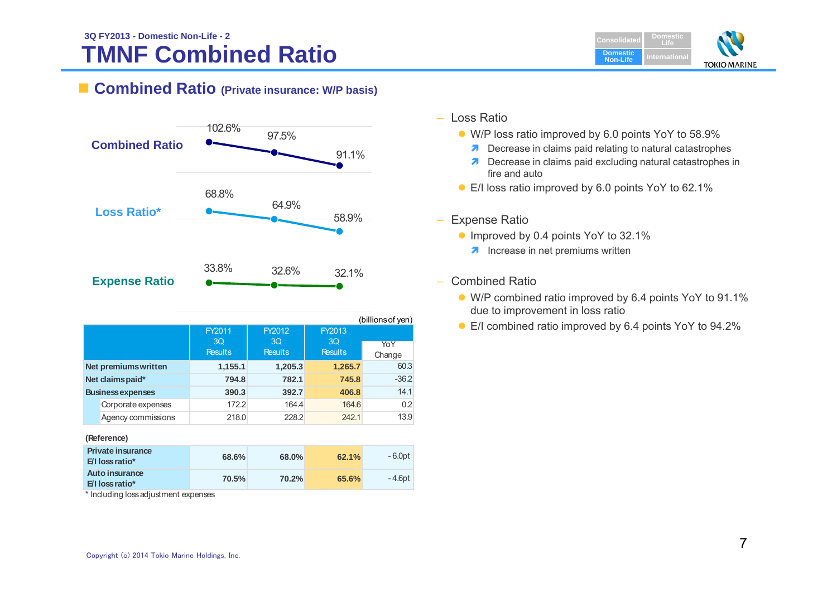#### **TMNF Combined Ratio 3Q FY2013 - Domestic Non-Life - 2Consolidated Consolidated**



### **Combined Ratio (Private insurance: W/P basis)**



|                  |                             | FY2011<br>3Q<br><b>Results</b> | FY2012<br>3Q<br><b>Results</b> | FY2013<br>3Q<br><b>Results</b> | , <i>. .</i><br>YoY<br>Change |
|------------------|-----------------------------|--------------------------------|--------------------------------|--------------------------------|-------------------------------|
|                  | <b>Net premiums written</b> | 1,155.1                        | 1,205.3                        | 1,265.7                        | 60.3                          |
| Net claims paid* |                             | 794.8                          | 782.1                          | 745.8                          | $-36.2$                       |
|                  | <b>Business expenses</b>    | 390.3                          | 392.7                          | 406.8                          | 14.1                          |
|                  | Corporate expenses          | 172.2                          | 164.4                          | 164.6                          | 0.2                           |
|                  | Agency commissions          | 218.0                          | 228.2                          | 242.1                          | 13.9                          |

#### **(Reference)**

| <b>Private insurance</b><br>$E/I$ loss ratio* | 68.6% | 68.0% | 62.1% | - 6.0pt |
|-----------------------------------------------|-------|-------|-------|---------|
| Auto insurance<br><b>E/I loss ratio*</b>      | 70.5% | 70.2% | 65.6% | -4.6pt  |

\* Including loss adjustment expenses

- Loss Ratio
	- W/P loss ratio improved by 6.0 points YoY to 58.9%
		- **7** Decrease in claims paid relating to natural catastrophes
		- **7** Decrease in claims paid excluding natural catastrophes in fire and auto
	- E/I loss ratio improved by 6.0 points YoY to 62.1%
- $\equiv$  Expense Ratio
	- Improved by 0.4 points YoY to 32.1%
		- **A** Increase in net premiums written
- – Combined Ratio
	- W/P combined ratio improved by 6.4 points YoY to 91.1% due to improvement in loss ratio
	- E/I combined ratio improved by 6.4 points YoY to 94.2%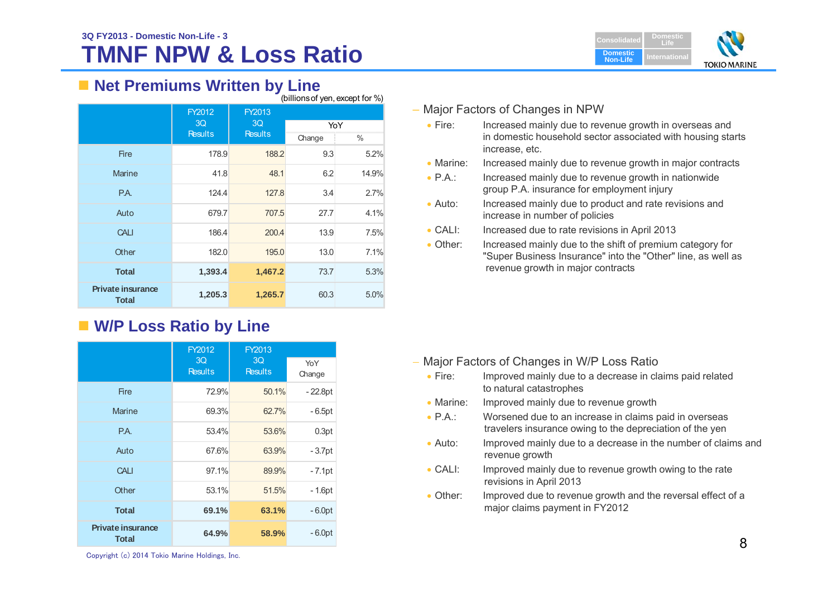# **TMNF NPW & Loss Ratio**



### ■ Net Premiums Written by Line

|                                          | (billions of yen, except for %) |                |        |       |
|------------------------------------------|---------------------------------|----------------|--------|-------|
|                                          | FY2012                          | <b>FY2013</b>  |        |       |
|                                          | 3 <sub>O</sub>                  | 3Q             | YoY    |       |
|                                          | <b>Results</b>                  | <b>Results</b> | Change | %     |
| <b>Fire</b>                              | 178.9                           | 188.2          | 9.3    | 5.2%  |
| <b>Marine</b>                            | 41.8                            | 48.1           | 6.2    | 14.9% |
| P.A.                                     | 124.4                           | 127.8          | 3.4    | 2.7%  |
| Auto                                     | 679.7                           | 707.5          | 27.7   | 4.1%  |
| <b>CALI</b>                              | 186.4                           | 200.4          | 13.9   | 7.5%  |
| Other                                    | 182.0                           | 195.0          | 13.0   | 7.1%  |
| <b>Total</b>                             | 1,393.4                         | 1,467.2        | 73.7   | 5.3%  |
| <b>Private insurance</b><br><b>Total</b> | 1,205.3                         | 1,265.7        | 60.3   | 5.0%  |

### **W/P Loss Ratio by Line**

|                                          | FY2012               | FY2013               |               |
|------------------------------------------|----------------------|----------------------|---------------|
|                                          | 3Q<br><b>Results</b> | 3Q<br><b>Results</b> | YoY<br>Change |
| <b>Fire</b>                              | 72.9%                | 50.1%                | $-22.8pt$     |
| <b>Marine</b>                            | 69.3%                | 62.7%                | $-6.5pt$      |
| P.A.                                     | 53.4%                | 53.6%                | 0.3pt         |
| Auto                                     | 67.6%                | 63.9%                | $-3.7pt$      |
| <b>CALI</b>                              | 97.1%                | 89.9%                | $-7.1$ pt     |
| Other                                    | 53.1%                | 51.5%                | - 1.6pt       |
| <b>Total</b>                             | 69.1%                | 63.1%                | $-6.0pt$      |
| <b>Private insurance</b><br><b>Total</b> | 64.9%                | 58.9%                | $-6.0pt$      |

### – Major Factors of Changes in NPW

- $\bullet$  Fire: Increased mainly due to revenue growth in overseas and in domestic household sector associated with housing starts increase, etc.
- Marine: Increased mainly due to revenue growth in major contracts
- $\bullet$  PA $\cdot$ Increased mainly due to revenue growth in nationwide group P.A. insurance for employment injury
- $\bullet$  Auto: Increased mainly due to product and rate revisions and increase in number of policies
- $\bullet$  CALE Increased due to rate revisions in April 2013
- $\bullet$  Other: Increased mainly due to the shift of premium category for "Super Business Insurance" into the "Other" line, as well as revenue growth in major contracts

- Major Factors of Changes in W/P Loss Ratio
	- $\bullet$  Fire: Improved mainly due to a decrease in claims paid related to natural catastrophes
	- Marine: Improved mainly due to revenue growth
	- $\bullet$  P.A.: Worsened due to an increase in claims paid in overseas travelers insurance owing to the depreciation of the yen
	- $\bullet$  Auto: Improved mainly due to a decrease in the number of claims and revenue growth
	- $\bullet$  CALI: Improved mainly due to revenue growth owing to the rate revisions in April 2013
	- Other: Improved due to revenue growth and the reversal effect of a major claims payment in FY2012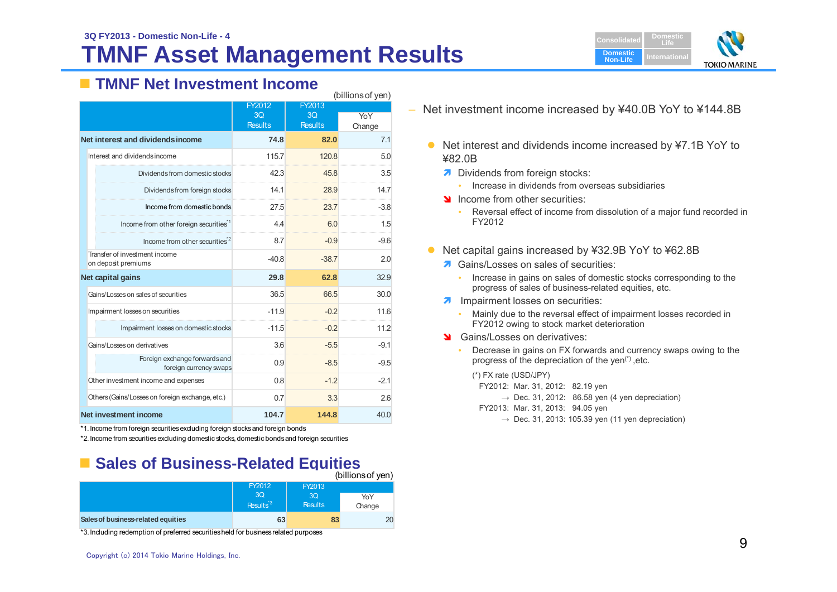# **TMNF Asset Management Results**



### **TMNF Net Investment Income**

|                                                         | (billions of yen) |                |        |  |
|---------------------------------------------------------|-------------------|----------------|--------|--|
|                                                         | FY2012            | FY2013         |        |  |
|                                                         | 3 <sub>O</sub>    | 3 <sub>O</sub> | YoY    |  |
|                                                         | <b>Results</b>    | <b>Results</b> | Change |  |
| Net interest and dividends income                       | 74.8              | 82.0           | 71     |  |
| Interest and dividends income                           | 115.7             | 120.8          | 5.0    |  |
| Dividends from domestic stocks                          | 423               | 45.8           | 3.5    |  |
| Dividends from foreign stocks                           | 14.1              | 28.9           | 147    |  |
| Income from domestic bonds                              | 27.5              | 23.7           | $-3.8$ |  |
| Income from other foreign securities <sup>1</sup>       | 44                | 6.0            | 1.5    |  |
| Income from other securities <sup>2</sup>               | 8.7               | $-0.9$         | $-9.6$ |  |
| Transfer of investment income<br>on deposit premiums    | $-40.8$           | $-38.7$        | 20     |  |
| Net capital gains                                       | 29.8              | 62.8           | 32.9   |  |
| Gains/Losses on sales of securities                     | 36.5              | 66.5           | 30.0   |  |
| Impairment losses on securities                         | $-119$            | $-0.2$         | 116    |  |
| Impairment losses on domestic stocks                    | $-11.5$           | $-0.2$         | 11.2   |  |
| Gains/Losses on derivatives                             | 36                | $-5.5$         | $-91$  |  |
| Foreign exchange forwards and<br>foreign currency swaps | 0.9               | $-8.5$         | $-9.5$ |  |
| Other investment income and expenses                    | 0.8               | $-12$          | $-2.1$ |  |
| Others (Gains/Losses on foreign exchange, etc.)         | 07                | 3.3            | 26     |  |
| Net investment income                                   | 104.7             | 144.8          | 40.0   |  |

\*1. Income from foreign securities excluding foreign stocks and foreign bonds

\*2. Income from securities excluding domestic stocks, domestic bonds and foreign securities

#### **Example Sales of Business-Related Equities**  $(b)$ llions of  $(y_0, y_1)$

|                                    | FY2012                      | FY2013               | (DIIIIOHSOL VEH) |
|------------------------------------|-----------------------------|----------------------|------------------|
|                                    | 3Q<br>Results <sup>*3</sup> | 3O<br><b>Results</b> | YoY<br>Change    |
| Sales of business-related equities | 63                          | 83                   | 20               |

\*3. Including redemption of preferred securities held for business related purposes

- Net interest and dividends income increased by ¥7.1B YoY to ¥82.0B
	- Dividends from foreign stocks:
		- Increase in dividends from overseas subsidiaries
	- Income from other securities:
		- Reversal effect of income from dissolution of a major fund recorded in FY2012
- $\bullet$  Net capital gains increased by ¥32.9B YoY to ¥62.8B
	- **A** Gains/Losses on sales of securities:
		- Increase in gains on sales of domestic stocks corresponding to the progress of sales of business-related equities, etc.
	- **A** Impairment losses on securities:
		- ۰ Mainly due to the reversal effect of impairment losses recorded in FY2012 owing to stock market deterioration
	- State Gains/Losses on derivatives:
		- Decrease in gains on FX forwards and currency swaps owing to the progress of the depreciation of the yen $(*)$ , etc.
			- (\*) FX rate (USD/JPY)
			- FY2012: Mar. 31, 2012: 82.19 yen
				- $\rightarrow$  Dec. 31, 2012: 86.58 yen (4 yen depreciation)
			- FY2013: Mar. 31, 2013: 94.05 yen
				- $\rightarrow$  Dec. 31, 2013: 105.39 ven (11 ven depreciation)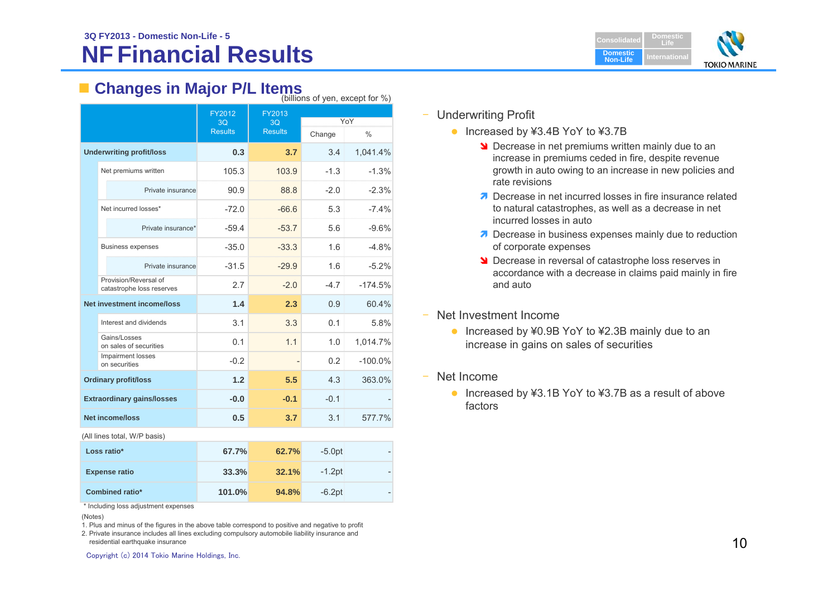#### **NF Financial Results3Q FY2013 - Domestic Non-Life - 5Consolidated Consolidated**



## **Examples in Major P/L Items** (billions of yen, except for %)

|                                                    |                |                | $\mu$ $\mu$ $\mu$ $\sigma$ $\mu$ $\sigma$ $\sigma$ $\mu$ $\sigma$ $\sigma$ $\sigma$ $\sigma$ $\sigma$ |               |  |
|----------------------------------------------------|----------------|----------------|-------------------------------------------------------------------------------------------------------|---------------|--|
|                                                    | FY2012<br>3Q   | FY2013<br>3Q   | YoY                                                                                                   |               |  |
|                                                    | <b>Results</b> | <b>Results</b> | Change                                                                                                | $\frac{0}{0}$ |  |
| <b>Underwriting profit/loss</b>                    | 0.3            | 3.7            | 3.4                                                                                                   | 1,041.4%      |  |
| Net premiums written                               | 105.3          | 103.9          | $-1.3$                                                                                                | $-1.3%$       |  |
| Private insurance                                  | 90.9           | 88.8           | $-2.0$                                                                                                | $-2.3%$       |  |
| Net incurred losses*                               | $-72.0$        | $-66.6$        | 5.3                                                                                                   | $-7.4%$       |  |
| Private insurance*                                 | $-59.4$        | $-53.7$        | 5.6                                                                                                   | $-9.6%$       |  |
| <b>Business expenses</b>                           | $-35.0$        | $-33.3$        | 1.6                                                                                                   | $-4.8%$       |  |
| Private insurance                                  | $-31.5$        | $-29.9$        | 1.6                                                                                                   | $-5.2%$       |  |
| Provision/Reversal of<br>catastrophe loss reserves | 2.7            | $-2.0$         | $-4.7$                                                                                                | $-174.5%$     |  |
| <b>Net investment income/loss</b>                  | 1.4            | 2.3            | 0.9                                                                                                   | 60.4%         |  |
| Interest and dividends                             | 3.1            | 3.3            | 0.1                                                                                                   | 5.8%          |  |
| Gains/Losses<br>on sales of securities             | 0.1            | 1.1            | 1.0                                                                                                   | 1,014.7%      |  |
| Impairment losses<br>on securities                 | $-0.2$         |                | 0.2                                                                                                   | $-100.0\%$    |  |
| <b>Ordinary profit/loss</b>                        | 1.2            | 5.5            | 4.3                                                                                                   | 363.0%        |  |
| <b>Extraordinary gains/losses</b>                  | $-0.0$         | $-0.1$         | $-0.1$                                                                                                |               |  |
| <b>Net income/loss</b>                             | 0.5            | 3.7            | 3.1                                                                                                   | 577.7%        |  |

(All lines total, W/P basis)

| Loss ratio*            | 67.7%  | 62.7% | $-5.0pt$  |  |
|------------------------|--------|-------|-----------|--|
| <b>Expense ratio</b>   | 33.3%  | 32.1% | $-1.2$ pt |  |
| <b>Combined ratio*</b> | 101.0% | 94.8% | $-6.2$ pt |  |

\* Including loss adjustment expenses

(Notes)

1. Plus and minus of the figures in the above table correspond to positive and negative to profit

2. Private insurance includes all lines excluding compulsory automobile liability insurance and residential earthquake insurance

- ‒ Underwriting Profit
	- Increased by ¥3.4B YoY to ¥3.7B
		- **N** Decrease in net premiums written mainly due to an increase in premiums ceded in fire, despite revenue growth in auto owing to an increase in new policies and rate revisions
		- Decrease in net incurred losses in fire insurance related to natural catastrophes, as well as a decrease in net incurred losses in auto
		- **Decrease in business expenses mainly due to reduction** of corporate expenses
		- **Decrease in reversal of catastrophe loss reserves in** accordance with a decrease in claims paid mainly in fire and auto
- Net Investment Income
	- Increased by ¥0.9B YoY to ¥2.3B mainly due to an increase in gains on sales of securities
- ‒ Net Income
	- Increased by ¥3.1B YoY to ¥3.7B as a result of above factors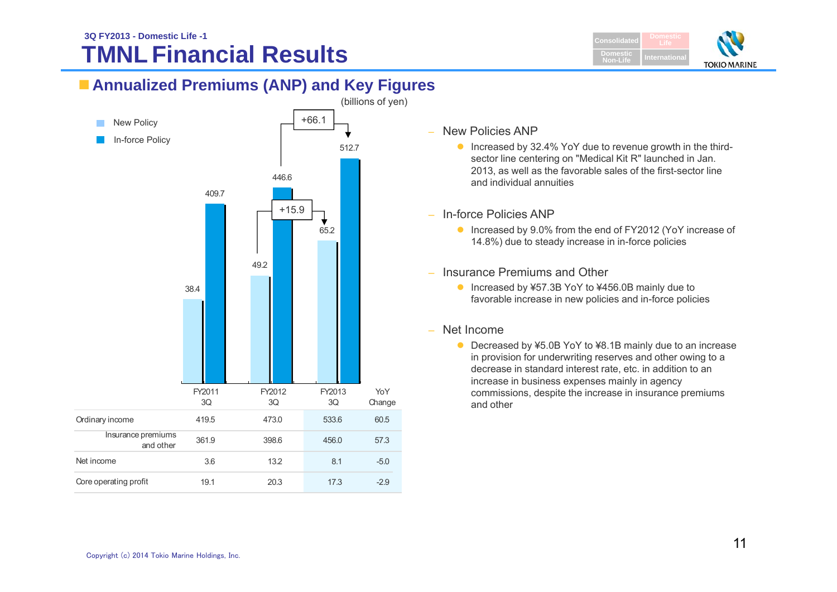#### **TMNL Financial Results3Q FY2013 - Domestic Life -1Consolidated Consolidated**



### **Annualized Premiums (ANP) and Key Figures**



#### – New Policies ANP

- Increased by 32.4% YoY due to revenue growth in the thirdsector line centering on "Medical Kit R" launched in Jan. 2013, as well as the favorable sales of the first-sector line and individual annuities
- In-force Policies ANP
	- Increased by 9.0% from the end of FY2012 (YoY increase of 14.8%) due to steady increase in in-force policies
- Insurance Premiums and Other
	- Increased by ¥57.3B YoY to ¥456.0B mainly due to favorable increase in new policies and in-force policies
- Net Income
	- Decreased by ¥5.0B YoY to ¥8.1B mainly due to an increase in provision for underwriting reserves and other owing to a decrease in standard interest rate, etc. in addition to an increase in business expenses mainly in agency commissions, despite the increase in insurance premiums and other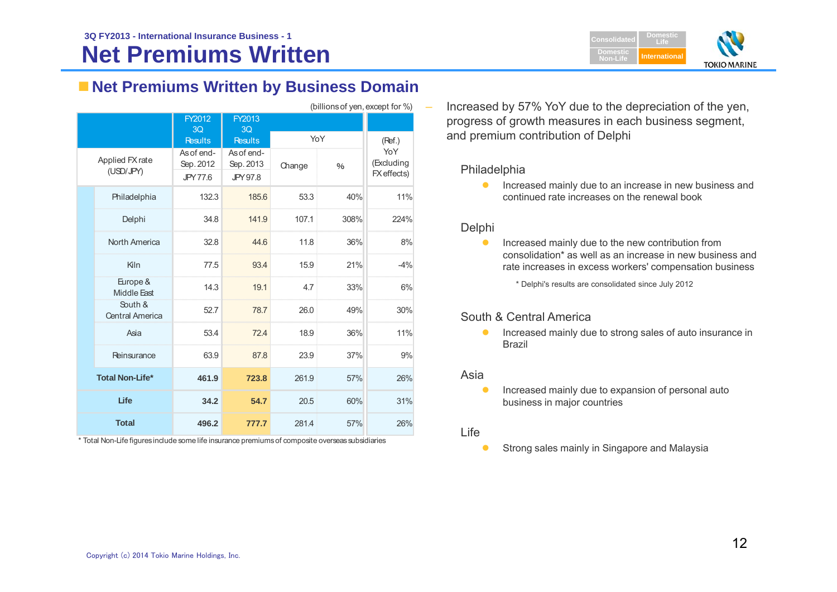

### **Net Premiums Written by Business Domain**

|              | (billions of yen, except for %)   |                                     |                                     |        |               |                                  |  |  |
|--------------|-----------------------------------|-------------------------------------|-------------------------------------|--------|---------------|----------------------------------|--|--|
|              |                                   | FY2012<br>3Q                        | FY2013<br>3Q                        |        |               |                                  |  |  |
|              |                                   | <b>Results</b>                      | <b>Results</b>                      | YoY    |               | (Ref.)                           |  |  |
|              | Applied FX rate<br>(USD/JPY)      | As of end-<br>Sep. 2012<br>JPY 77.6 | As of end-<br>Sep. 2013<br>JPY 97.8 | Change | $\frac{0}{0}$ | YoY<br>(Excluding<br>FX effects) |  |  |
|              | Philadelphia                      | 132.3                               | 185.6                               | 53.3   | 40%           | 11%                              |  |  |
|              | Delphi                            | 34.8                                | 141.9                               | 107.1  | 308%          | 224%                             |  |  |
|              | <b>North America</b>              | 32.8                                | 44.6                                | 11.8   | 36%           | 8%                               |  |  |
|              | Kiln                              | 77.5                                | 93.4                                | 15.9   | 21%           | $-4%$                            |  |  |
|              | Europe &<br>Middle East           | 14.3                                | 19.1                                | 4.7    | 33%           | 6%                               |  |  |
|              | South &<br><b>Central America</b> | 52.7                                | 78.7                                | 26.0   | 49%           | 30%                              |  |  |
|              | Asia                              | 53.4                                | 72.4                                | 18.9   | 36%           | 11%                              |  |  |
|              | Reinsurance                       | 63.9                                | 87.8                                | 23.9   | 37%           | 9%                               |  |  |
|              | <b>Total Non-Life*</b>            | 461.9                               | 723.8                               | 261.9  | 57%           | 26%                              |  |  |
| Life         |                                   | 34.2                                | 54.7                                | 20.5   | 60%           | 31%                              |  |  |
| <b>Total</b> |                                   | 496.2                               | 777.7                               | 281.4  | 57%           | 26%                              |  |  |

\* Total Non-Life figures include some life insurance premiums of composite overseas subsidiaries

 Increased by 57% YoY due to the depreciation of the yen, progress of growth measures in each business segment, and premium contribution of Delphi

#### Philadelphia

 $\bullet$  Increased mainly due to an increase in new business and continued rate increases on the renewal book

#### Delphi

 $\bullet$  Increased mainly due to the new contribution from consolidation\* as well as an increase in new business and rate increases in excess workers' compensation business

\* Delphi's results are consolidated since July 2012

#### South & Central America

 $\bullet$  Increased mainly due to strong sales of auto insurance in Brazil

#### Asia

- $\bullet$  Increased mainly due to expansion of personal auto business in major countries
- Life
	- $\bullet$ Strong sales mainly in Singapore and Malaysia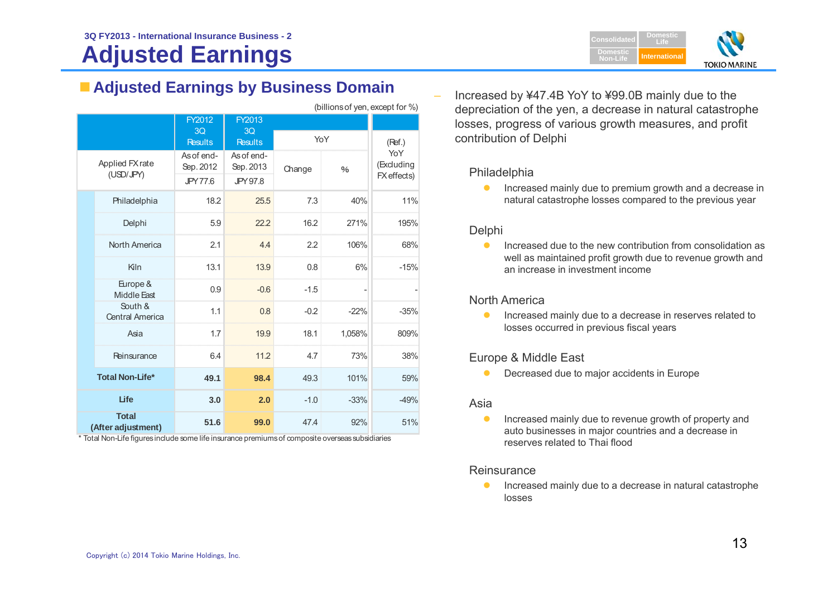# **Adjusted Earnings**

### **Adjusted Earnings by Business Domain**

| (billions of yen, except for %) |                                    |                         |                                  |        |        |                                  |
|---------------------------------|------------------------------------|-------------------------|----------------------------------|--------|--------|----------------------------------|
|                                 |                                    | FY2012                  | FY2013                           |        |        |                                  |
|                                 |                                    | 3Q<br><b>Results</b>    | 3 <sub>O</sub><br><b>Results</b> | YoY    |        | (Ref.)                           |
|                                 | Applied FX rate<br>(USD/JPY)       | As of end-<br>Sep. 2012 | As of end-<br>Sep. 2013          | Change | $\%$   | YoY<br>(Excluding<br>FX effects) |
|                                 |                                    | <b>JPY 77.6</b>         | JPY 97.8                         |        |        |                                  |
|                                 | Philadelphia                       | 18.2                    | 25.5                             | 7.3    | 40%    | 11%                              |
|                                 | Delphi                             | 5.9                     | 22.2                             | 16.2   | 271%   | 195%                             |
|                                 | North America                      | 2.1                     | 4.4                              | 2.2    | 106%   | 68%                              |
|                                 | Kiln                               | 13.1                    | 13.9                             | 0.8    | 6%     | $-15%$                           |
|                                 | Europe &<br>Middle East            | 0.9                     | $-0.6$                           | $-1.5$ |        |                                  |
|                                 | South &<br><b>Central America</b>  | 1.1                     | 0.8                              | $-0.2$ | $-22%$ | $-35%$                           |
|                                 | Asia                               | 1.7                     | 19.9                             | 18.1   | 1,058% | 809%                             |
|                                 | Reinsurance                        | 6.4                     | 11.2                             | 4.7    | 73%    | 38%                              |
|                                 | <b>Total Non-Life*</b>             | 49.1                    | 98.4                             | 49.3   | 101%   | 59%                              |
| Life                            |                                    | 3.0                     | 2.0                              | $-1.0$ | $-33%$ | $-49%$                           |
|                                 | <b>Total</b><br>(After adjustment) | 51.6                    | 99.0                             | 47.4   | 92%    | 51%                              |

\* Total Non-Life figures include some life insurance premiums of composite overseas subsidiaries

 Increased by ¥47.4B YoY to ¥99.0B mainly due to the depreciation of the yen, a decrease in natural catastrophe losses, progress of various growth measures, and profit contribution of Delphi

### Philadelphia

 $\bullet$  Increased mainly due to premium growth and a decrease in natural catastrophe losses compared to the previous year

### Delphi

 $\bullet$  Increased due to the new contribution from consolidation as well as maintained profit growth due to revenue growth and an increase in investment income

### North America

 $\bullet$  Increased mainly due to a decrease in reserves related to losses occurred in previous fiscal years

### Europe & Middle East

 $\bullet$ Decreased due to major accidents in Europe

#### Asia

 $\bullet$  Increased mainly due to revenue growth of property and auto businesses in major countries and a decrease in reserves related to Thai flood

#### **Reinsurance**

 $\bullet$  Increased mainly due to a decrease in natural catastrophe losses

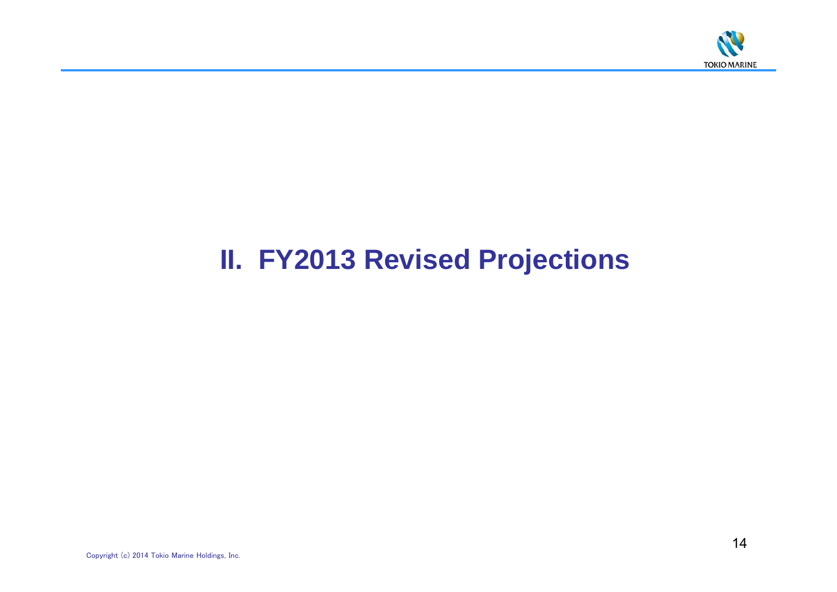

# **II. FY2013 Revised Projections**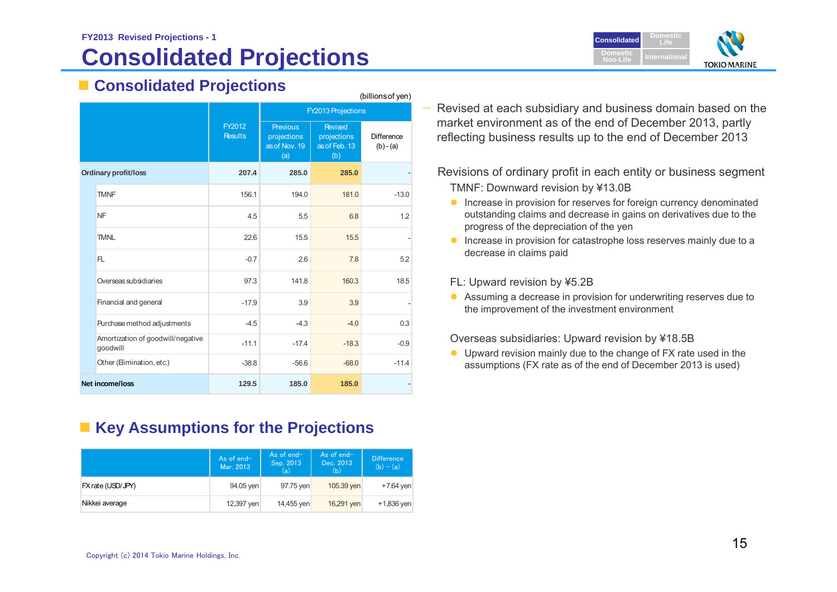### **FY2013 Revised Projections - 1 Consolidated Projections**

### **Consolidated Projections**

|                             |                                               | (billions of yen)        |                                                        |                                                       |                           |  |  |
|-----------------------------|-----------------------------------------------|--------------------------|--------------------------------------------------------|-------------------------------------------------------|---------------------------|--|--|
|                             |                                               |                          |                                                        | <b>FY2013 Projections</b>                             |                           |  |  |
|                             |                                               | FY2012<br><b>Results</b> | <b>Previous</b><br>projections<br>as of Nov. 19<br>(a) | <b>Revised</b><br>projections<br>as of Feb. 13<br>(b) | Difference<br>$(b) - (a)$ |  |  |
| <b>Ordinary profit/loss</b> |                                               | 207.4                    | 285.0                                                  | 285.0                                                 |                           |  |  |
|                             | <b>TMNF</b>                                   | 156.1                    | 194.0                                                  | 181.0                                                 | $-13.0$                   |  |  |
|                             | <b>NF</b>                                     | 4.5                      | 5.5                                                    | 6.8                                                   | 1.2                       |  |  |
|                             | <b>TMNL</b>                                   | 22.6                     | 15.5                                                   | 15.5                                                  |                           |  |  |
|                             | FL.                                           | $-0.7$                   | 2.6                                                    | 7.8                                                   | 5.2                       |  |  |
|                             | Overseas subsidiaries                         | 97.3                     | 141.8                                                  | 160.3                                                 | 18.5                      |  |  |
|                             | Financial and general                         | $-17.9$                  | 3.9                                                    | 3.9                                                   |                           |  |  |
|                             | Purchase method adjustments                   | $-4.5$                   | $-4.3$                                                 | $-4.0$                                                | 0.3                       |  |  |
|                             | Amortization of goodwill/negative<br>goodwill | $-11.1$                  | $-17.4$                                                | $-18.3$                                               | $-0.9$                    |  |  |
|                             | Other (Elimination, etc.)                     | $-38.8$                  | $-56.6$                                                | $-68.0$                                               | $-11.4$                   |  |  |
| Net income/loss             |                                               | 129.5                    | 185.0                                                  | 185.0                                                 |                           |  |  |

**Key Assumptions for the Projections**

|                   | As of $end-$<br>Mar. 2013 | As of end-<br>Sep. 2013<br>(a) | As of end-<br>Dec. 2013<br>(b) | <b>Difference</b><br>$(b) - (a)$ |
|-------------------|---------------------------|--------------------------------|--------------------------------|----------------------------------|
| FX rate (USD/JPY) | 94.05 yen                 | 97.75 yen                      | 105.39 yen                     | $+7.64$ yen                      |
| Nikkei average    | 12,397 yen                | 14,455 yen                     | 16,291 yen                     | $+1,836$ yen                     |

 Revised at each subsidiary and business domain based on the market environment as of the end of December 2013, partly reflecting business results up to the end of December 2013

Revisions of ordinary profit in each entity or business segment TMNF: Downward revision by ¥13.0B

- **Increase in provision for reserves for foreign currency denominated** outstanding claims and decrease in gains on derivatives due to the progress of the depreciation of the yen
- **Increase in provision for catastrophe loss reserves mainly due to a** decrease in claims paid

FL: Upward revision by ¥5.2B

 Assuming a decrease in provision for underwriting reserves due to the improvement of the investment environment

Overseas subsidiaries: Upward revision by ¥18.5B

 Upward revision mainly due to the change of FX rate used in the assumptions (FX rate as of the end of December 2013 is used)

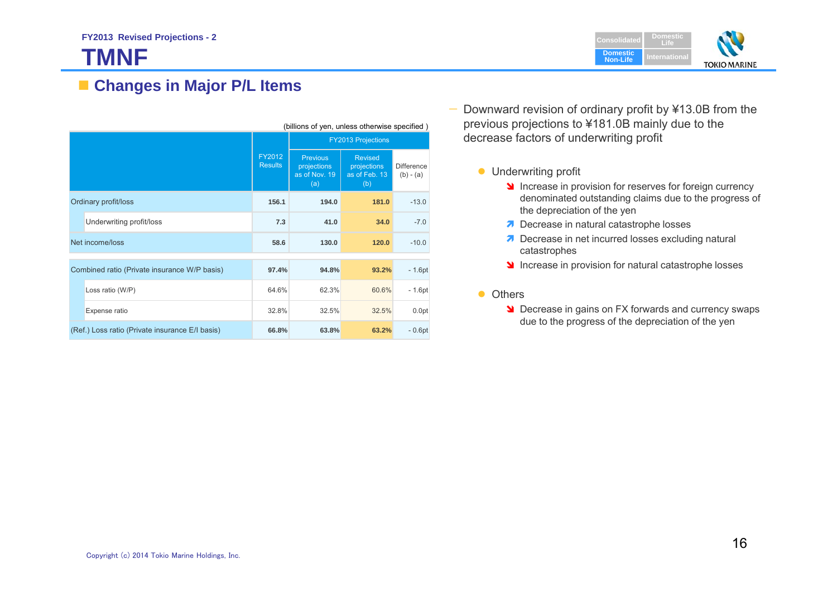# **TMNF**



### **Changes in Major P/L Items**

|                                              | (billions of yen, unless otherwise specified)   |                           |                                                        |                                                       |                                  |  |
|----------------------------------------------|-------------------------------------------------|---------------------------|--------------------------------------------------------|-------------------------------------------------------|----------------------------------|--|
|                                              |                                                 | <b>FY2013 Projections</b> |                                                        |                                                       |                                  |  |
|                                              |                                                 |                           | <b>Previous</b><br>projections<br>as of Nov. 19<br>(a) | <b>Revised</b><br>projections<br>as of Feb. 13<br>(b) | <b>Difference</b><br>$(b) - (a)$ |  |
| Ordinary profit/loss                         |                                                 | 156.1                     | 194.0                                                  | 181.0                                                 | $-13.0$                          |  |
|                                              | Underwriting profit/loss                        | 7.3                       | 41.0                                                   | 34.0                                                  | $-7.0$                           |  |
| Net income/loss                              |                                                 | 58.6                      | 130.0                                                  | 120.0                                                 | $-10.0$                          |  |
|                                              |                                                 |                           |                                                        |                                                       |                                  |  |
| Combined ratio (Private insurance W/P basis) |                                                 | 97.4%                     | 94.8%                                                  | 93.2%                                                 | $-1.6pt$                         |  |
|                                              | Loss ratio (W/P)                                | 64.6%                     | 62.3%                                                  | 60.6%                                                 | $-1.6pt$                         |  |
|                                              | Expense ratio                                   | 32.8%                     | 32.5%                                                  | 32.5%                                                 | 0.0pt                            |  |
|                                              | (Ref.) Loss ratio (Private insurance E/I basis) | 66.8%                     | 63.8%                                                  | 63.2%                                                 | $-0.6pt$                         |  |

- — Downward revision of ordinary profit by ¥13.0B from the previous projections to ¥181.0B mainly due to the decrease factors of underwriting profit
	- **Underwriting profit** 
		- Increase in provision for reserves for foreign currency denominated outstanding claims due to the progress of the depreciation of the yen
		- Decrease in natural catastrophe losses
		- Decrease in net incurred losses excluding natural catastrophes
		- Increase in provision for natural catastrophe losses

#### • Others

**Decrease in gains on FX forwards and currency swaps** due to the progress of the depreciation of the yen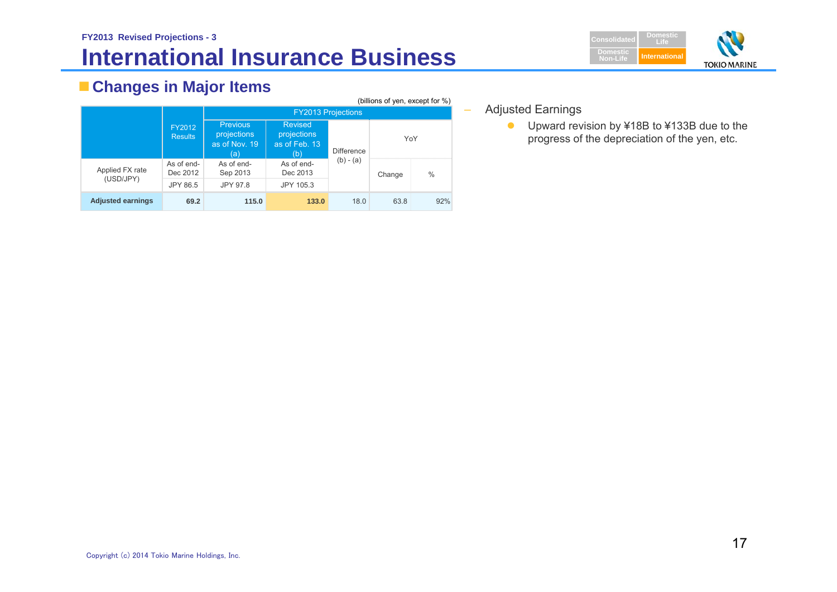### **FY2013 Revised Projections - 3 International Insurance Business**



### **Changes in Major Items**

| (billions of yen, except for %) |                          |                                                        |                                                       |                   |        |               |  |  |
|---------------------------------|--------------------------|--------------------------------------------------------|-------------------------------------------------------|-------------------|--------|---------------|--|--|
|                                 |                          | <b>FY2013 Projections</b>                              |                                                       |                   |        |               |  |  |
|                                 | FY2012<br><b>Results</b> | <b>Previous</b><br>projections<br>as of Nov. 19<br>(a) | <b>Revised</b><br>projections<br>as of Feb. 13<br>(b) | <b>Difference</b> | YoY    |               |  |  |
| Applied FX rate                 | As of end-<br>Dec 2012   | As of end-<br>Sep 2013                                 | As of end-<br>Dec 2013                                | $(b) - (a)$       | Change | $\frac{0}{0}$ |  |  |
| (USD/JPY)                       | JPY 86.5                 | JPY 97.8                                               | JPY 105.3                                             |                   |        |               |  |  |
| <b>Adjusted earnings</b>        | 69.2                     | 115.0                                                  | 133.0                                                 | 18.0              | 63.8   | 92%           |  |  |

Adjusted Earnings

–

● Upward revision by ¥18B to ¥133B due to the progress of the depreciation of the yen, etc.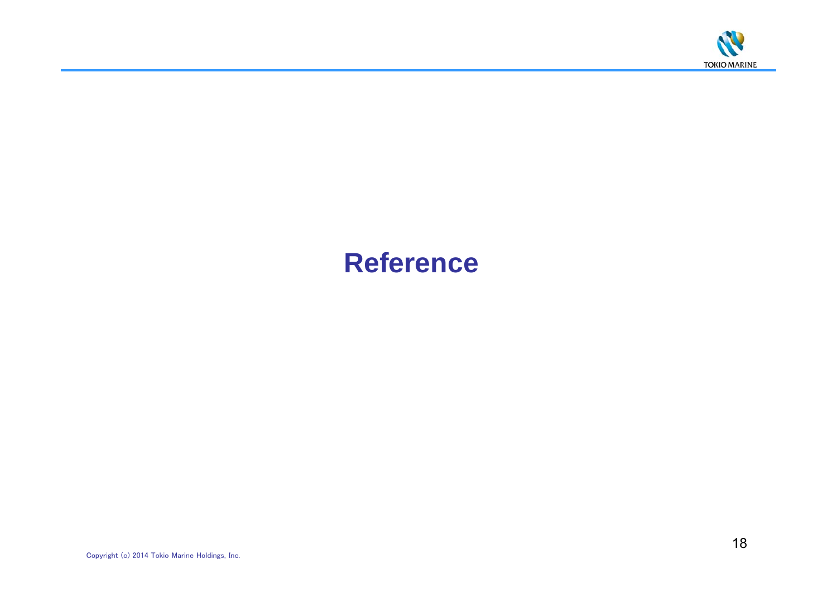

# **Reference**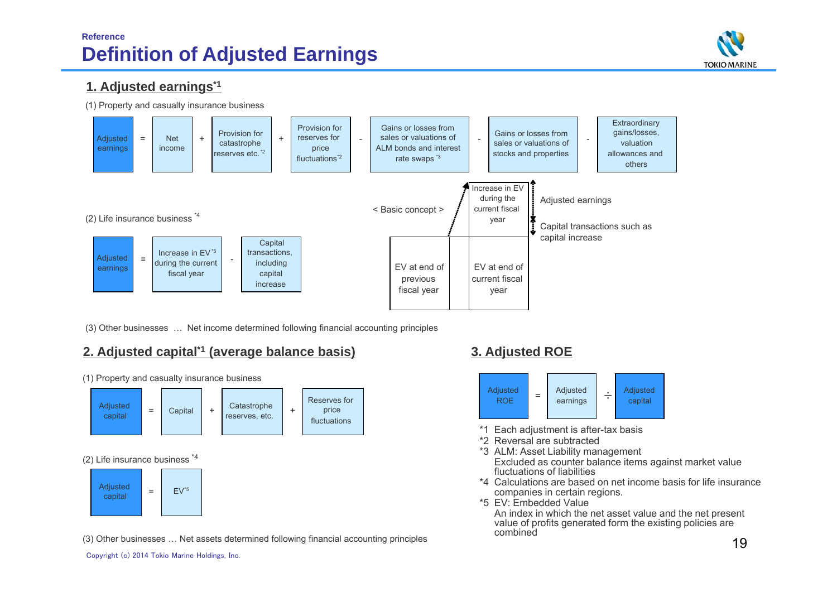### **Reference Definition of Adjusted Earnings**



### **1. Adjusted earnings\*1**

(1) Property and casualty insurance business



(3) Other businesses … Net income determined following financial accounting principles

### **2. Adjusted capital\*1 (average balance basis) 3. Adjusted ROE**

+**Catastrophe** reserves, etc. (2) Life insurance business \*4 (1) Property and casualty insurance business Reserves for price fluctuations Adjusted capital = $\text{Capital}$  +  $\text{Catal}$  + Adjusted capital = $EV^*5$ 

(3) Other businesses … Net assets determined following financial accounting principles



- \*1 Each adjustment is after-tax basis
- \*2 Reversal are subtracted
- \*3 ALM: Asset Liability management Excluded as counter balance items against market value fluctuations of liabilities
- \*4 Calculations are based on net income basis for life insurance companies in certain regions.
- \*5 EV: Embedded Value

An index in which the net asset value and the net present value of profits generated form the existing policies are combined

Copyright (c) 2014 Tokio Marine Holdings, Inc.